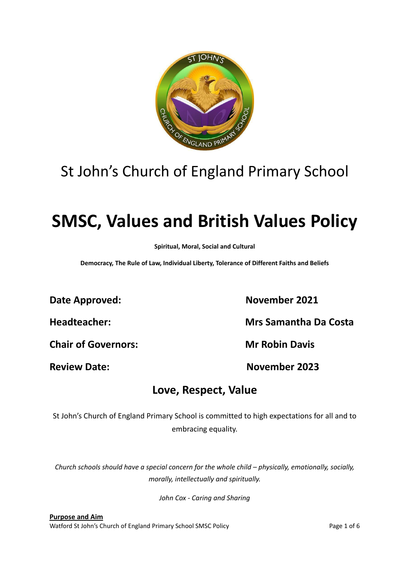

## St John's Church of England Primary School

# **SMSC, Values and British Values Policy**

**Spiritual, Moral, Social and Cultural**

**Democracy, The Rule of Law, Individual Liberty, Tolerance of Different Faiths and Beliefs**

**Date Approved:** November 2021

**Chair of Governors: Mr Robin Davis**

**Headteacher: Mrs Samantha Da Costa**

**Review Date: November 2023**

### **Love, Respect, Value**

St John's Church of England Primary School is committed to high expectations for all and to embracing equality.

*Church schools should have a special concern for the whole child – physically, emotionally, socially, morally, intellectually and spiritually.*

*John Cox - Caring and Sharing*

**Purpose and Aim** Watford St John's Church of England Primary School SMSC Policy **Page 1 of 6** Page 1 of 6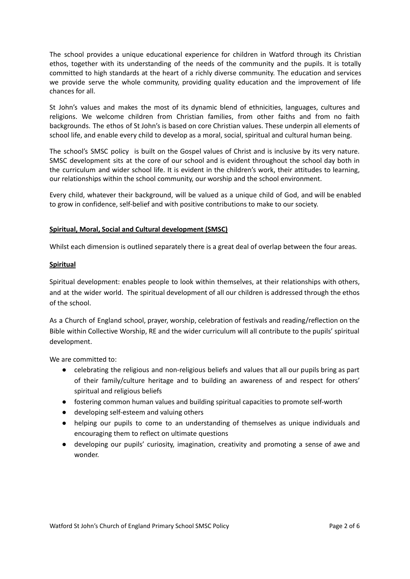The school provides a unique educational experience for children in Watford through its Christian ethos, together with its understanding of the needs of the community and the pupils. It is totally committed to high standards at the heart of a richly diverse community. The education and services we provide serve the whole community, providing quality education and the improvement of life chances for all.

St John's values and makes the most of its dynamic blend of ethnicities, languages, cultures and religions. We welcome children from Christian families, from other faiths and from no faith backgrounds. The ethos of St John's is based on core Christian values. These underpin all elements of school life, and enable every child to develop as a moral, social, spiritual and cultural human being.

The school's SMSC policy is built on the Gospel values of Christ and is inclusive by its very nature. SMSC development sits at the core of our school and is evident throughout the school day both in the curriculum and wider school life. It is evident in the children's work, their attitudes to learning, our relationships within the school community, our worship and the school environment.

Every child, whatever their background, will be valued as a unique child of God, and will be enabled to grow in confidence, self-belief and with positive contributions to make to our society.

#### **Spiritual, Moral, Social and Cultural development (SMSC)**

Whilst each dimension is outlined separately there is a great deal of overlap between the four areas.

#### **Spiritual**

Spiritual development: enables people to look within themselves, at their relationships with others, and at the wider world. The spiritual development of all our children is addressed through the ethos of the school.

As a Church of England school, prayer, worship, celebration of festivals and reading/reflection on the Bible within Collective Worship, RE and the wider curriculum will all contribute to the pupils' spiritual development.

We are committed to:

- celebrating the religious and non-religious beliefs and values that all our pupils bring as part of their family/culture heritage and to building an awareness of and respect for others' spiritual and religious beliefs
- fostering common human values and building spiritual capacities to promote self-worth
- developing self-esteem and valuing others
- helping our pupils to come to an understanding of themselves as unique individuals and encouraging them to reflect on ultimate questions
- developing our pupils' curiosity, imagination, creativity and promoting a sense of awe and wonder.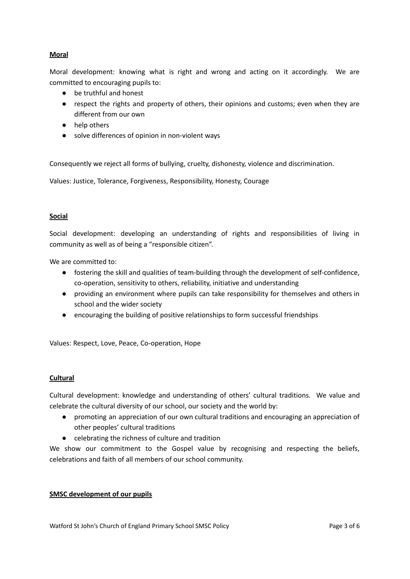#### **Moral**

Moral development: knowing what is right and wrong and acting on it accordingly. We are committed to encouraging pupils to:

- be truthful and honest
- respect the rights and property of others, their opinions and customs; even when they are different from our own
- help others
- solve differences of opinion in non-violent ways

Consequently we reject all forms of bullying, cruelty, dishonesty, violence and discrimination.

Values: Justice, Tolerance, Forgiveness, Responsibility, Honesty, Courage

#### **Social**

Social development: developing an understanding of rights and responsibilities of living in community as well as of being a "responsible citizen".

We are committed to:

- fostering the skill and qualities of team-building through the development of self-confidence, co-operation, sensitivity to others, reliability, initiative and understanding
- providing an environment where pupils can take responsibility for themselves and others in school and the wider society
- encouraging the building of positive relationships to form successful friendships

Values: Respect, Love, Peace, Co-operation, Hope

#### **Cultural**

Cultural development: knowledge and understanding of others' cultural traditions. We value and celebrate the cultural diversity of our school, our society and the world by:

- promoting an appreciation of our own cultural traditions and encouraging an appreciation of other peoples' cultural traditions
- celebrating the richness of culture and tradition

We show our commitment to the Gospel value by recognising and respecting the beliefs, celebrations and faith of all members of our school community.

#### **SMSC development of our pupils**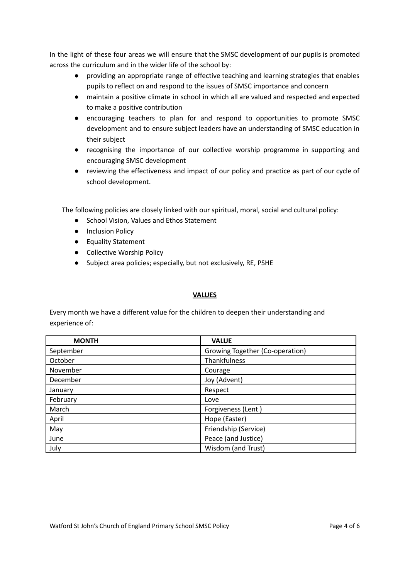In the light of these four areas we will ensure that the SMSC development of our pupils is promoted across the curriculum and in the wider life of the school by:

- providing an appropriate range of effective teaching and learning strategies that enables pupils to reflect on and respond to the issues of SMSC importance and concern
- maintain a positive climate in school in which all are valued and respected and expected to make a positive contribution
- encouraging teachers to plan for and respond to opportunities to promote SMSC development and to ensure subject leaders have an understanding of SMSC education in their subject
- recognising the importance of our collective worship programme in supporting and encouraging SMSC development
- reviewing the effectiveness and impact of our policy and practice as part of our cycle of school development.

The following policies are closely linked with our spiritual, moral, social and cultural policy:

- School Vision, Values and Ethos Statement
- Inclusion Policy
- Equality Statement
- Collective Worship Policy
- Subject area policies; especially, but not exclusively, RE, PSHE

#### **VALUES**

Every month we have a different value for the children to deepen their understanding and experience of:

| <b>MONTH</b> | <b>VALUE</b>                    |
|--------------|---------------------------------|
| September    | Growing Together (Co-operation) |
| October      | Thankfulness                    |
| November     | Courage                         |
| December     | Joy (Advent)                    |
| January      | Respect                         |
| February     | Love                            |
| March        | Forgiveness (Lent)              |
| April        | Hope (Easter)                   |
| May          | Friendship (Service)            |
| June         | Peace (and Justice)             |
| July         | Wisdom (and Trust)              |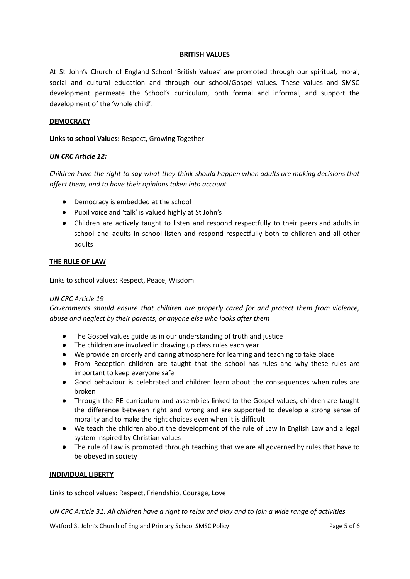#### **BRITISH VALUES**

At St John's Church of England School 'British Values' are promoted through our spiritual, moral, social and cultural education and through our school/Gospel values. These values and SMSC development permeate the School's curriculum, both formal and informal, and support the development of the 'whole child'.

#### **DEMOCRACY**

**Links to school Values:** Respect**,** Growing Together

#### *UN CRC Article 12:*

*Children have the right to say what they think should happen when adults are making decisions that affect them, and to have their opinions taken into account*

- Democracy is embedded at the school
- Pupil voice and 'talk' is valued highly at St John's
- Children are actively taught to listen and respond respectfully to their peers and adults in school and adults in school listen and respond respectfully both to children and all other adults

#### **THE RULE OF LAW**

Links to school values: Respect, Peace, Wisdom

#### *UN CRC Article 19*

*Governments should ensure that children are properly cared for and protect them from violence, abuse and neglect by their parents, or anyone else who looks after them*

- The Gospel values guide us in our understanding of truth and justice
- The children are involved in drawing up class rules each year
- We provide an orderly and caring atmosphere for learning and teaching to take place
- From Reception children are taught that the school has rules and why these rules are important to keep everyone safe
- Good behaviour is celebrated and children learn about the consequences when rules are broken
- Through the RE curriculum and assemblies linked to the Gospel values, children are taught the difference between right and wrong and are supported to develop a strong sense of morality and to make the right choices even when it is difficult
- We teach the children about the development of the rule of Law in English Law and a legal system inspired by Christian values
- The rule of Law is promoted through teaching that we are all governed by rules that have to be obeyed in society

#### **INDIVIDUAL LIBERTY**

Links to school values: Respect, Friendship, Courage, Love

UN CRC Article 31: All children have a right to relax and play and to join a wide range of activities

Watford St John's Church of England Primary School SMSC Policy **Page 5 of 6** Page 5 of 6